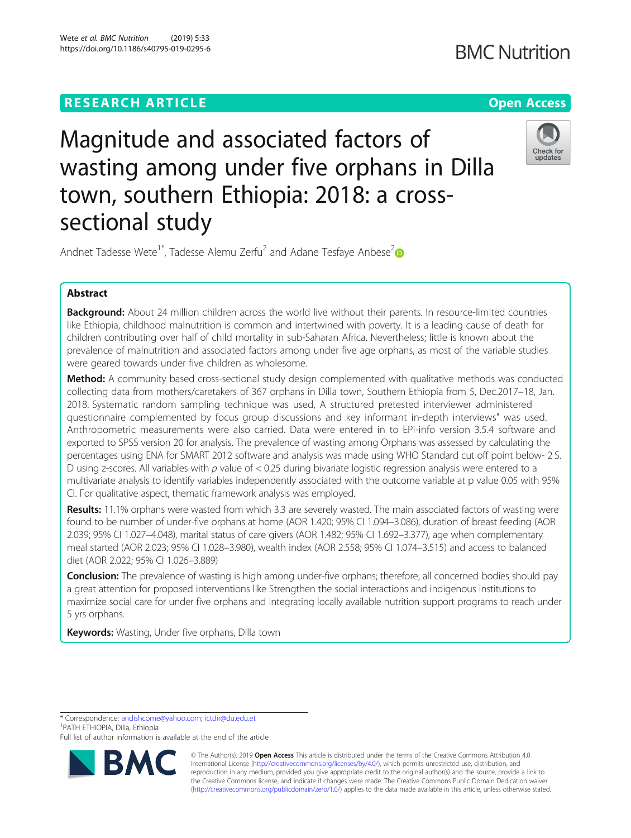# **RESEARCH ARTICLE Example 2018 12:30 THE Open Access**

# Magnitude and associated factors of wasting among under five orphans in Dilla town, southern Ethiopia: 2018: a crosssectional study



Andnet Tadesse Wete<sup>1\*</sup>, Tadesse Alemu Zerfu<sup>2</sup> and Adane Tesfaye Anbese<sup>2</sup> $\bullet$ 

# Abstract

Background: About 24 million children across the world live without their parents. In resource-limited countries like Ethiopia, childhood malnutrition is common and intertwined with poverty. It is a leading cause of death for children contributing over half of child mortality in sub-Saharan Africa. Nevertheless; little is known about the prevalence of malnutrition and associated factors among under five age orphans, as most of the variable studies were geared towards under five children as wholesome.

**Method:** A community based cross-sectional study design complemented with qualitative methods was conducted collecting data from mothers/caretakers of 367 orphans in Dilla town, Southern Ethiopia from 5, Dec.2017–18, Jan. 2018. Systematic random sampling technique was used, A structured pretested interviewer administered questionnaire complemented by focus group discussions and key informant in-depth interviews" was used. Anthropometric measurements were also carried. Data were entered in to EPi-info version 3.5.4 software and exported to SPSS version 20 for analysis. The prevalence of wasting among Orphans was assessed by calculating the percentages using ENA for SMART 2012 software and analysis was made using WHO Standard cut off point below- 2 S. D using z-scores. All variables with  $p$  value of < 0.25 during bivariate logistic regression analysis were entered to a multivariate analysis to identify variables independently associated with the outcome variable at p value 0.05 with 95% CI. For qualitative aspect, thematic framework analysis was employed.

Results: 11.1% orphans were wasted from which 3.3 are severely wasted. The main associated factors of wasting were found to be number of under-five orphans at home (AOR 1.420; 95% CI 1.094–3.086), duration of breast feeding (AOR 2.039; 95% CI 1.027–4.048), marital status of care givers (AOR 1.482; 95% CI 1.692–3.377), age when complementary meal started (AOR 2.023; 95% CI 1.028–3.980), wealth index (AOR 2.558; 95% CI 1.074–3.515) and access to balanced diet (AOR 2.022; 95% CI 1.026–3.889)

**Conclusion:** The prevalence of wasting is high among under-five orphans; therefore, all concerned bodies should pay a great attention for proposed interventions like Strengthen the social interactions and indigenous institutions to maximize social care for under five orphans and Integrating locally available nutrition support programs to reach under 5 yrs orphans.

**Keywords:** Wasting, Under five orphans, Dilla town

\* Correspondence: [andishcome@yahoo.com;](mailto:andishcome@yahoo.com) [ictdir@du.edu.et](mailto:ictdir@du.edu.et) <sup>1</sup>

PATH ETHIOPIA, Dilla, Ethiopia

Full list of author information is available at the end of the article



© The Author(s). 2019 **Open Access** This article is distributed under the terms of the Creative Commons Attribution 4.0 International License [\(http://creativecommons.org/licenses/by/4.0/](http://creativecommons.org/licenses/by/4.0/)), which permits unrestricted use, distribution, and reproduction in any medium, provided you give appropriate credit to the original author(s) and the source, provide a link to the Creative Commons license, and indicate if changes were made. The Creative Commons Public Domain Dedication waiver [\(http://creativecommons.org/publicdomain/zero/1.0/](http://creativecommons.org/publicdomain/zero/1.0/)) applies to the data made available in this article, unless otherwise stated.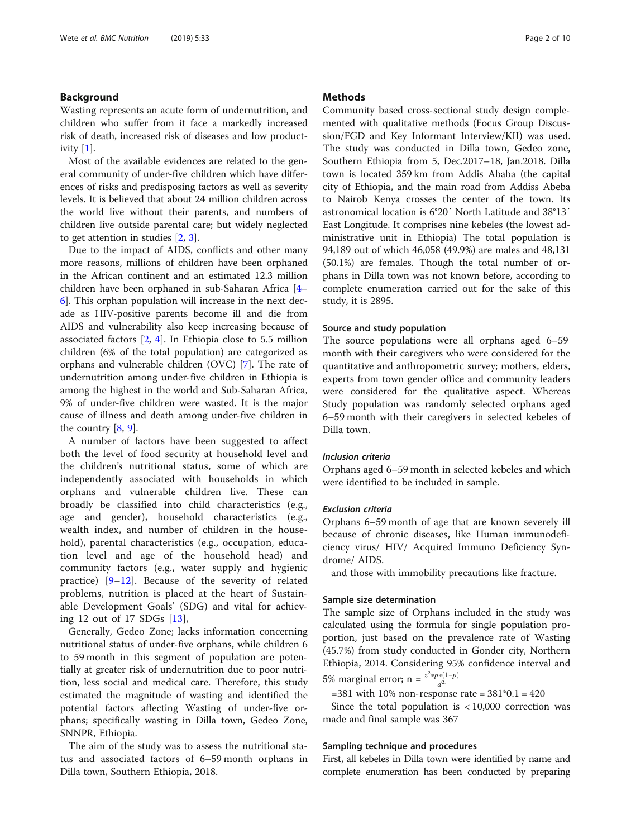# Background

Wasting represents an acute form of undernutrition, and children who suffer from it face a markedly increased risk of death, increased risk of diseases and low productivity [[1\]](#page-9-0).

Most of the available evidences are related to the general community of under-five children which have differences of risks and predisposing factors as well as severity levels. It is believed that about 24 million children across the world live without their parents, and numbers of children live outside parental care; but widely neglected to get attention in studies [\[2](#page-9-0), [3](#page-9-0)].

Due to the impact of AIDS, conflicts and other many more reasons, millions of children have been orphaned in the African continent and an estimated 12.3 million children have been orphaned in sub-Saharan Africa [[4](#page-9-0)– [6\]](#page-9-0). This orphan population will increase in the next decade as HIV-positive parents become ill and die from AIDS and vulnerability also keep increasing because of associated factors  $[2, 4]$  $[2, 4]$  $[2, 4]$  $[2, 4]$  $[2, 4]$ . In Ethiopia close to 5.5 million children (6% of the total population) are categorized as orphans and vulnerable children (OVC) [[7](#page-9-0)]. The rate of undernutrition among under-five children in Ethiopia is among the highest in the world and Sub-Saharan Africa, 9% of under-five children were wasted. It is the major cause of illness and death among under-five children in the country [\[8](#page-9-0), [9](#page-9-0)].

A number of factors have been suggested to affect both the level of food security at household level and the children's nutritional status, some of which are independently associated with households in which orphans and vulnerable children live. These can broadly be classified into child characteristics (e.g., age and gender), household characteristics (e.g., wealth index, and number of children in the household), parental characteristics (e.g., occupation, education level and age of the household head) and community factors (e.g., water supply and hygienic practice) [[9](#page-9-0)–[12\]](#page-9-0). Because of the severity of related problems, nutrition is placed at the heart of Sustainable Development Goals' (SDG) and vital for achieving 12 out of 17 SDGs [[13\]](#page-9-0),

Generally, Gedeo Zone; lacks information concerning nutritional status of under-five orphans, while children 6 to 59 month in this segment of population are potentially at greater risk of undernutrition due to poor nutrition, less social and medical care. Therefore, this study estimated the magnitude of wasting and identified the potential factors affecting Wasting of under-five orphans; specifically wasting in Dilla town, Gedeo Zone, SNNPR, Ethiopia.

The aim of the study was to assess the nutritional status and associated factors of 6–59 month orphans in Dilla town, Southern Ethiopia, 2018.

# **Methods**

Community based cross-sectional study design complemented with qualitative methods (Focus Group Discussion/FGD and Key Informant Interview/KII) was used. The study was conducted in Dilla town, Gedeo zone, Southern Ethiopia from 5, Dec.2017–18, Jan.2018. Dilla town is located 359 km from Addis Ababa (the capital city of Ethiopia, and the main road from Addiss Abeba to Nairob Kenya crosses the center of the town. Its astronomical location is 6°20′ North Latitude and 38°13′ East Longitude. It comprises nine kebeles (the lowest administrative unit in Ethiopia) The total population is 94,189 out of which 46,058 (49.9%) are males and 48,131 (50.1%) are females. Though the total number of orphans in Dilla town was not known before, according to complete enumeration carried out for the sake of this study, it is 2895.

# Source and study population

The source populations were all orphans aged 6–59 month with their caregivers who were considered for the quantitative and anthropometric survey; mothers, elders, experts from town gender office and community leaders were considered for the qualitative aspect. Whereas Study population was randomly selected orphans aged 6–59 month with their caregivers in selected kebeles of Dilla town.

# Inclusion criteria

Orphans aged 6–59 month in selected kebeles and which were identified to be included in sample.

# Exclusion criteria

Orphans 6–59 month of age that are known severely ill because of chronic diseases, like Human immunodeficiency virus/ HIV/ Acquired Immuno Deficiency Syndrome/ AIDS.

and those with immobility precautions like fracture.

# Sample size determination

The sample size of Orphans included in the study was calculated using the formula for single population proportion, just based on the prevalence rate of Wasting (45.7%) from study conducted in Gonder city, Northern Ethiopia, 2014. Considering 95% confidence interval and 5% marginal error; n =  $\frac{z^2 * p*(1-p)}{d^2}$ 

 $=381$  with 10% non-response rate  $= 381*0.1 = 420$ 

Since the total population is  $<$  10,000 correction was made and final sample was 367

# Sampling technique and procedures

First, all kebeles in Dilla town were identified by name and complete enumeration has been conducted by preparing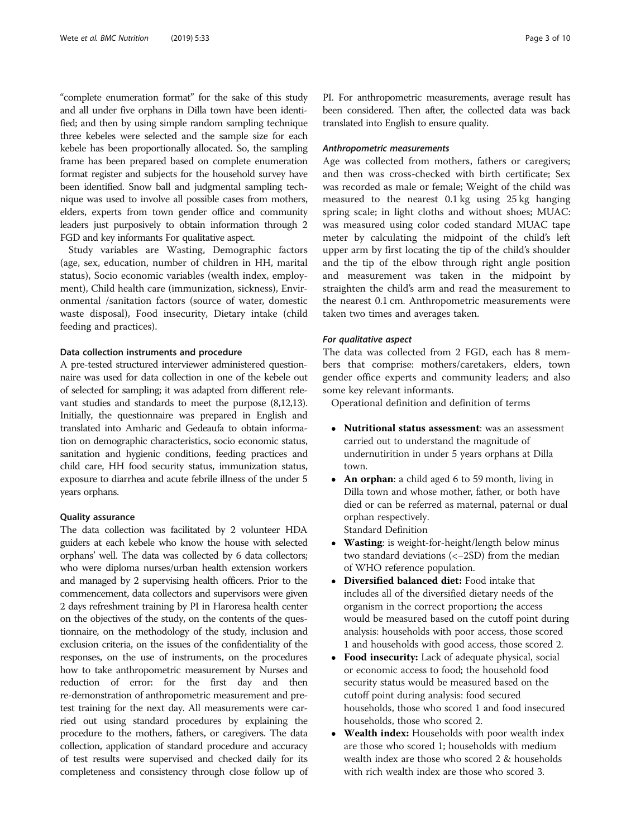"complete enumeration format" for the sake of this study and all under five orphans in Dilla town have been identified; and then by using simple random sampling technique three kebeles were selected and the sample size for each kebele has been proportionally allocated. So, the sampling frame has been prepared based on complete enumeration format register and subjects for the household survey have been identified. Snow ball and judgmental sampling technique was used to involve all possible cases from mothers, elders, experts from town gender office and community leaders just purposively to obtain information through 2 FGD and key informants For qualitative aspect.

Study variables are Wasting, Demographic factors (age, sex, education, number of children in HH, marital status), Socio economic variables (wealth index, employment), Child health care (immunization, sickness), Environmental /sanitation factors (source of water, domestic waste disposal), Food insecurity, Dietary intake (child feeding and practices).

# Data collection instruments and procedure

A pre-tested structured interviewer administered questionnaire was used for data collection in one of the kebele out of selected for sampling; it was adapted from different relevant studies and standards to meet the purpose (8,12,13). Initially, the questionnaire was prepared in English and translated into Amharic and Gedeaufa to obtain information on demographic characteristics, socio economic status, sanitation and hygienic conditions, feeding practices and child care, HH food security status, immunization status, exposure to diarrhea and acute febrile illness of the under 5 years orphans.

# Quality assurance

The data collection was facilitated by 2 volunteer HDA guiders at each kebele who know the house with selected orphans' well. The data was collected by 6 data collectors; who were diploma nurses/urban health extension workers and managed by 2 supervising health officers. Prior to the commencement, data collectors and supervisors were given 2 days refreshment training by PI in Haroresa health center on the objectives of the study, on the contents of the questionnaire, on the methodology of the study, inclusion and exclusion criteria, on the issues of the confidentiality of the responses, on the use of instruments, on the procedures how to take anthropometric measurement by Nurses and reduction of error: for the first day and then re-demonstration of anthropometric measurement and pretest training for the next day. All measurements were carried out using standard procedures by explaining the procedure to the mothers, fathers, or caregivers. The data collection, application of standard procedure and accuracy of test results were supervised and checked daily for its completeness and consistency through close follow up of PI. For anthropometric measurements, average result has been considered. Then after, the collected data was back translated into English to ensure quality.

# Anthropometric measurements

Age was collected from mothers, fathers or caregivers; and then was cross-checked with birth certificate; Sex was recorded as male or female; Weight of the child was measured to the nearest 0.1 kg using 25 kg hanging spring scale; in light cloths and without shoes; MUAC: was measured using color coded standard MUAC tape meter by calculating the midpoint of the child's left upper arm by first locating the tip of the child's shoulder and the tip of the elbow through right angle position and measurement was taken in the midpoint by straighten the child's arm and read the measurement to the nearest 0.1 cm. Anthropometric measurements were taken two times and averages taken.

# For qualitative aspect

The data was collected from 2 FGD, each has 8 members that comprise: mothers/caretakers, elders, town gender office experts and community leaders; and also some key relevant informants.

Operational definition and definition of terms

- Nutritional status assessment: was an assessment carried out to understand the magnitude of undernutirition in under 5 years orphans at Dilla town.
- An orphan: a child aged 6 to 59 month, living in Dilla town and whose mother, father, or both have died or can be referred as maternal, paternal or dual orphan respectively. Standard Definition
- Wasting: is weight-for-height/length below minus two standard deviations (<−2SD) from the median of WHO reference population.
- Diversified balanced diet: Food intake that includes all of the diversified dietary needs of the organism in the correct proportion; the access would be measured based on the cutoff point during analysis: households with poor access, those scored 1 and households with good access, those scored 2.
- Food insecurity: Lack of adequate physical, social or economic access to food; the household food security status would be measured based on the cutoff point during analysis: food secured households, those who scored 1 and food insecured households, those who scored 2.
- Wealth index: Households with poor wealth index are those who scored 1; households with medium wealth index are those who scored 2 & households with rich wealth index are those who scored 3.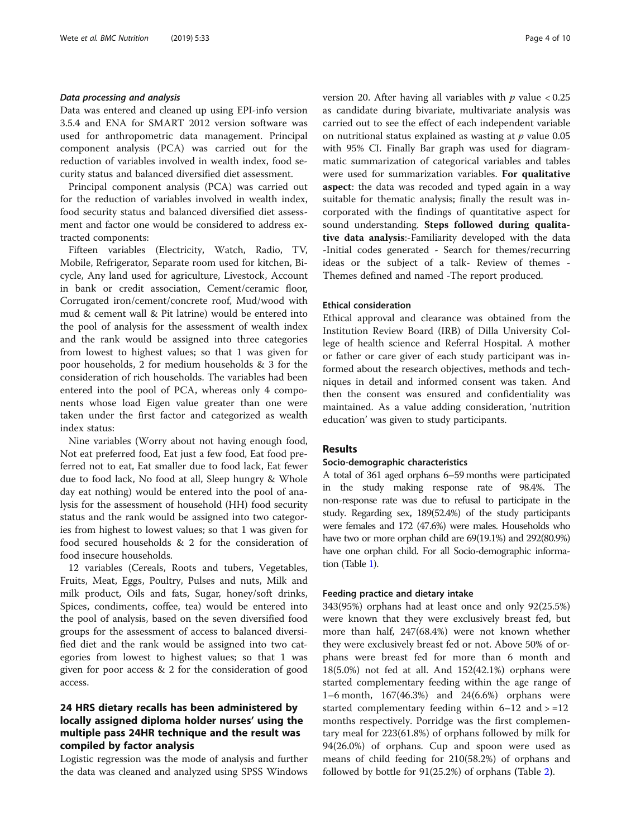# Data processing and analysis

Data was entered and cleaned up using EPI-info version 3.5.4 and ENA for SMART 2012 version software was used for anthropometric data management. Principal component analysis (PCA) was carried out for the reduction of variables involved in wealth index, food security status and balanced diversified diet assessment.

Principal component analysis (PCA) was carried out for the reduction of variables involved in wealth index, food security status and balanced diversified diet assessment and factor one would be considered to address extracted components:

Fifteen variables (Electricity, Watch, Radio, TV, Mobile, Refrigerator, Separate room used for kitchen, Bicycle, Any land used for agriculture, Livestock, Account in bank or credit association, Cement/ceramic floor, Corrugated iron/cement/concrete roof, Mud/wood with mud & cement wall & Pit latrine) would be entered into the pool of analysis for the assessment of wealth index and the rank would be assigned into three categories from lowest to highest values; so that 1 was given for poor households, 2 for medium households & 3 for the consideration of rich households. The variables had been entered into the pool of PCA, whereas only 4 components whose load Eigen value greater than one were taken under the first factor and categorized as wealth index status:

Nine variables (Worry about not having enough food, Not eat preferred food, Eat just a few food, Eat food preferred not to eat, Eat smaller due to food lack, Eat fewer due to food lack, No food at all, Sleep hungry & Whole day eat nothing) would be entered into the pool of analysis for the assessment of household (HH) food security status and the rank would be assigned into two categories from highest to lowest values; so that 1 was given for food secured households & 2 for the consideration of food insecure households.

12 variables (Cereals, Roots and tubers, Vegetables, Fruits, Meat, Eggs, Poultry, Pulses and nuts, Milk and milk product, Oils and fats, Sugar, honey/soft drinks, Spices, condiments, coffee, tea) would be entered into the pool of analysis, based on the seven diversified food groups for the assessment of access to balanced diversified diet and the rank would be assigned into two categories from lowest to highest values; so that 1 was given for poor access & 2 for the consideration of good access.

# 24 HRS dietary recalls has been administered by locally assigned diploma holder nurses' using the multiple pass 24HR technique and the result was compiled by factor analysis

Logistic regression was the mode of analysis and further the data was cleaned and analyzed using SPSS Windows version 20. After having all variables with  $p$  value  $< 0.25$ as candidate during bivariate, multivariate analysis was carried out to see the effect of each independent variable on nutritional status explained as wasting at  $p$  value 0.05 with 95% CI. Finally Bar graph was used for diagrammatic summarization of categorical variables and tables were used for summarization variables. For qualitative aspect: the data was recoded and typed again in a way suitable for thematic analysis; finally the result was incorporated with the findings of quantitative aspect for sound understanding. Steps followed during qualitative data analysis:-Familiarity developed with the data -Initial codes generated - Search for themes/recurring ideas or the subject of a talk- Review of themes - Themes defined and named -The report produced.

# Ethical consideration

Ethical approval and clearance was obtained from the Institution Review Board (IRB) of Dilla University College of health science and Referral Hospital. A mother or father or care giver of each study participant was informed about the research objectives, methods and techniques in detail and informed consent was taken. And then the consent was ensured and confidentiality was maintained. As a value adding consideration, 'nutrition education' was given to study participants.

# Results

# Socio-demographic characteristics

A total of 361 aged orphans 6–59 months were participated in the study making response rate of 98.4%. The non-response rate was due to refusal to participate in the study. Regarding sex, 189(52.4%) of the study participants were females and 172 (47.6%) were males. Households who have two or more orphan child are 69(19.1%) and 292(80.9%) have one orphan child. For all Socio-demographic information (Table [1\)](#page-4-0).

# Feeding practice and dietary intake

343(95%) orphans had at least once and only 92(25.5%) were known that they were exclusively breast fed, but more than half, 247(68.4%) were not known whether they were exclusively breast fed or not. Above 50% of orphans were breast fed for more than 6 month and 18(5.0%) not fed at all. And 152(42.1%) orphans were started complementary feeding within the age range of 1–6 month, 167(46.3%) and 24(6.6%) orphans were started complementary feeding within  $6-12$  and  $> =12$ months respectively. Porridge was the first complementary meal for 223(61.8%) of orphans followed by milk for 94(26.0%) of orphans. Cup and spoon were used as means of child feeding for 210(58.2%) of orphans and followed by bottle for 91(25.2%) of orphans (Table [2](#page-5-0)).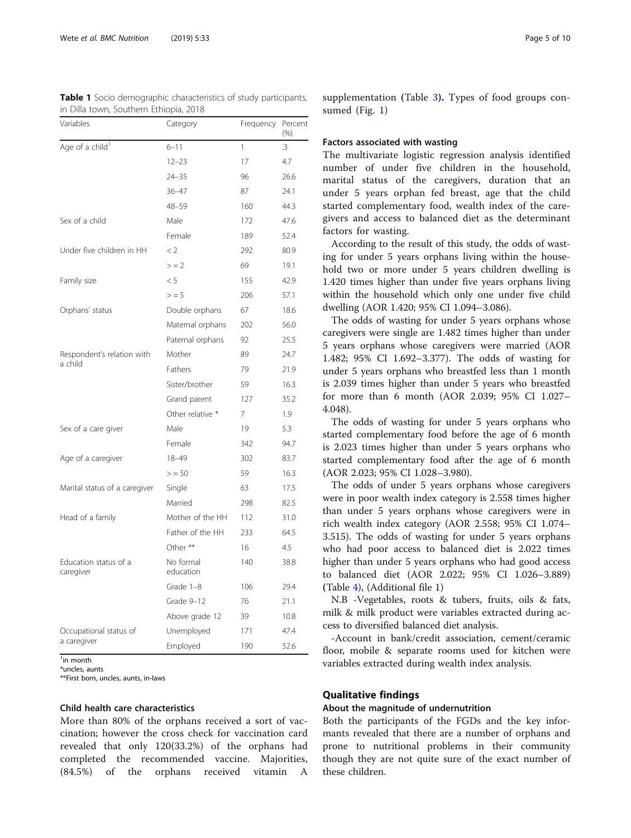| Variables                          | Category               | Frequency Percent | (% )   |
|------------------------------------|------------------------|-------------------|--------|
| Age of a child <sup>1</sup>        | $6 - 11$               | 1                 | $.3\,$ |
|                                    | $12 - 23$              | 17                | 4.7    |
|                                    | $24 - 35$              | 96                | 26.6   |
|                                    | $36 - 47$              | 87                | 24.1   |
|                                    | $48 - 59$              | 160               | 44.3   |
| Sex of a child                     | Male                   | 172               | 47.6   |
|                                    | Female                 | 189               | 52.4   |
| Under five children in HH          | < 2                    | 292               | 80.9   |
|                                    | $> = 2$                | 69                | 19.1   |
| Family size                        | < 5                    | 155               | 42.9   |
|                                    | > 5                    | 206               | 57.1   |
| Orphans' status                    | Double orphans         | 67                | 18.6   |
|                                    | Maternal orphans       | 202               | 56.0   |
|                                    | Paternal orphans       | 92                | 25.5   |
| Respondent's relation with         | Mother                 | 89                | 24.7   |
| a child                            | <b>Fathers</b>         | 79                | 21.9   |
|                                    | Sister/brother         | 59                | 16.3   |
|                                    | Grand parent           | 127               | 35.2   |
|                                    | Other relative *       | 7                 | 1.9    |
| Sex of a care giver                | Male                   | 19                | 5.3    |
|                                    | Female                 | 342               | 94.7   |
| Age of a caregiver                 | $18 - 49$              | 302               | 83.7   |
|                                    | > 50                   | 59                | 16.3   |
| Marital status of a caregiver      | Single                 | 63                | 17.5   |
|                                    | Married                | 298               | 82.5   |
| Head of a family                   | Mother of the HH       | 112               | 31.0   |
|                                    | Father of the HH       | 233               | 64.5   |
|                                    | Other **               | 16                | 4.5    |
| Education status of a<br>caregiver | No formal<br>education | 140               | 38.8   |
|                                    | Grade 1-8              | 106               | 29.4   |
|                                    | Grade 9-12             | 76                | 21.1   |
|                                    | Above grade 12         | 39                | 10.8   |
| Occupational status of             | Unemployed             | 171               | 47.4   |
| a caregiver                        | Employed               | 190               | 52.6   |

<span id="page-4-0"></span>

|  | <b>Table 1</b> Socio demographic characteristics of study participants, |  |  |  |  |
|--|-------------------------------------------------------------------------|--|--|--|--|
|  | in Dilla town, Southern Ethiopia, 2018                                  |  |  |  |  |

<sup>1</sup>in month

\*uncles, aunts

\*\*First born, uncles, aunts, in-laws

# Child health care characteristics

More than 80% of the orphans received a sort of vaccination; however the cross check for vaccination card revealed that only 120(33.2%) of the orphans had completed the recommended vaccine. Majorities, (84.5%) of the orphans received vitamin A supplementation (Table [3](#page-5-0)). Types of food groups consumed (Fig. [1](#page-6-0))

# Factors associated with wasting

The multivariate logistic regression analysis identified number of under five children in the household, marital status of the caregivers, duration that an under 5 years orphan fed breast, age that the child started complementary food, wealth index of the caregivers and access to balanced diet as the determinant factors for wasting.

According to the result of this study, the odds of wasting for under 5 years orphans living within the household two or more under 5 years children dwelling is 1.420 times higher than under five years orphans living within the household which only one under five child dwelling (AOR 1.420; 95% CI 1.094–3.086).

The odds of wasting for under 5 years orphans whose caregivers were single are 1.482 times higher than under 5 years orphans whose caregivers were married (AOR 1.482; 95% CI 1.692–3.377). The odds of wasting for under 5 years orphans who breastfed less than 1 month is 2.039 times higher than under 5 years who breastfed for more than 6 month (AOR 2.039; 95% CI 1.027– 4.048).

The odds of wasting for under 5 years orphans who started complementary food before the age of 6 month is 2.023 times higher than under 5 years orphans who started complementary food after the age of 6 month (AOR 2.023; 95% CI 1.028–3.980).

The odds of under 5 years orphans whose caregivers were in poor wealth index category is 2.558 times higher than under 5 years orphans whose caregivers were in rich wealth index category (AOR 2.558; 95% CI 1.074– 3.515). The odds of wasting for under 5 years orphans who had poor access to balanced diet is 2.022 times higher than under 5 years orphans who had good access to balanced diet (AOR 2.022; 95% CI 1.026–3.889) (Table [4](#page-7-0)), (Additional file [1\)](#page-8-0)

N.B -Vegetables, roots & tubers, fruits, oils & fats, milk & milk product were variables extracted during access to diversified balanced diet analysis.

-Account in bank/credit association, cement/ceramic floor, mobile & separate rooms used for kitchen were variables extracted during wealth index analysis.

# Qualitative findings

# About the magnitude of undernutrition

Both the participants of the FGDs and the key informants revealed that there are a number of orphans and prone to nutritional problems in their community though they are not quite sure of the exact number of these children.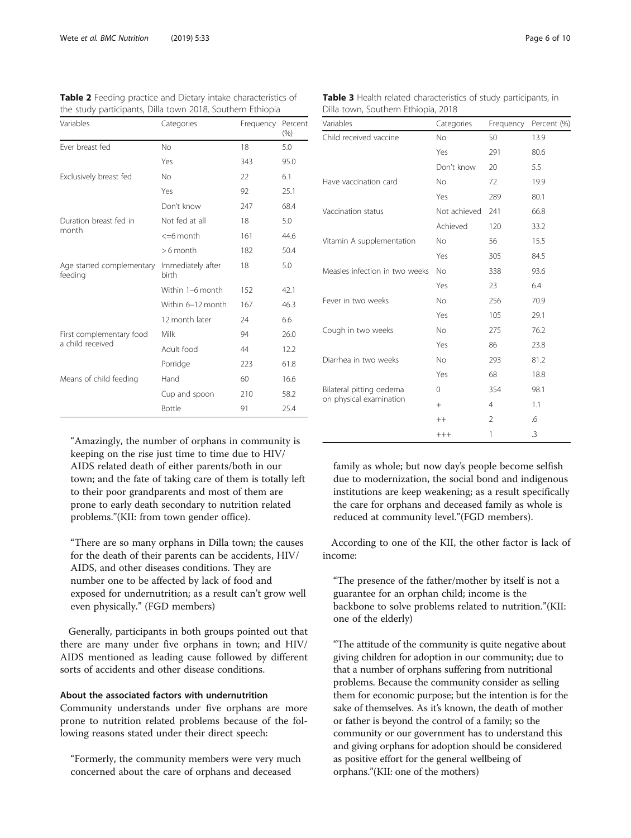| Variables                            | Categories                 | Frequency | Percent<br>(% ) |
|--------------------------------------|----------------------------|-----------|-----------------|
| Fver breast fed                      | No.                        | 18        | 5.0             |
|                                      | Yes                        | 343       | 95.0            |
| Exclusively breast fed               | No                         | 22        | 6.1             |
|                                      | Yes                        | 92        | 25.1            |
|                                      | Don't know                 | 247       | 68.4            |
| Duration breast fed in               | Not fed at all             | 18        | 5.0             |
| month                                | $<=6$ month                | 161       | 44.6            |
|                                      | $> 6$ month                | 182       | 50.4            |
| Age started complementary<br>feeding | Immediately after<br>birth | 18        | 5.0             |
|                                      | Within 1-6 month           | 152       | 42.1            |
|                                      | Within 6-12 month          | 167       | 46.3            |
|                                      | 12 month later             | 24        | 6.6             |
| First complementary food             | Milk                       | 94        | 26.0            |
| a child received                     | Adult food                 | 44        | 12.2            |
|                                      | Porridge                   | 223       | 61.8            |
| Means of child feeding               | Hand                       | 60        | 16.6            |
|                                      | Cup and spoon              | 210       | 58.2            |
|                                      | Bottle                     | 91        | 25.4            |

<span id="page-5-0"></span>Table 2 Feeding practice and Dietary intake characteristics of the study participants, Dilla town 2018, Southern Ethiopia

"Amazingly, the number of orphans in community is keeping on the rise just time to time due to HIV/ AIDS related death of either parents/both in our town; and the fate of taking care of them is totally left to their poor grandparents and most of them are prone to early death secondary to nutrition related problems."(KII: from town gender office).

"There are so many orphans in Dilla town; the causes for the death of their parents can be accidents, HIV/ AIDS, and other diseases conditions. They are number one to be affected by lack of food and exposed for undernutrition; as a result can't grow well even physically." (FGD members)

Generally, participants in both groups pointed out that there are many under five orphans in town; and HIV/ AIDS mentioned as leading cause followed by different sorts of accidents and other disease conditions.

# About the associated factors with undernutrition

Community understands under five orphans are more prone to nutrition related problems because of the following reasons stated under their direct speech:

"Formerly, the community members were very much concerned about the care of orphans and deceased

|  | <b>Table 3</b> Health related characteristics of study participants, in |  |  |
|--|-------------------------------------------------------------------------|--|--|
|  | Dilla town, Southern Ethiopia, 2018                                     |  |  |

| Variables                      | Categories   | Frequency      | Percent (%) |
|--------------------------------|--------------|----------------|-------------|
| Child received vaccine         | <b>No</b>    | 50             | 13.9        |
|                                | Yes          | 291            | 80.6        |
|                                | Don't know   | 20             | 5.5         |
| Have vaccination card          | No           | 72             | 19.9        |
|                                | Yes          | 289            | 80.1        |
| Vaccination status             | Not achieved | 241            | 66.8        |
|                                | Achieved     | 120            | 33.2        |
| Vitamin A supplementation      | <b>No</b>    | 56             | 15.5        |
|                                | Yes          | 305            | 84.5        |
| Measles infection in two weeks | <b>No</b>    | 338            | 93.6        |
|                                | Yes          | 23             | 6.4         |
| Fever in two weeks             | <b>No</b>    | 256            | 70.9        |
|                                | Yes          | 105            | 29.1        |
| Cough in two weeks             | <b>No</b>    | 275            | 76.2        |
|                                | Yes          | 86             | 23.8        |
| Diarrhea in two weeks          | <b>No</b>    | 293            | 81.2        |
|                                | Yes          | 68             | 18.8        |
| Bilateral pitting oedema       | $\Omega$     | 354            | 98.1        |
| on physical examination        | $+$          | $\overline{4}$ | 1.1         |
|                                | $++$         | $\overline{2}$ | .6          |
|                                | $+++$        | 1              | $\cdot$ 3   |

family as whole; but now day's people become selfish due to modernization, the social bond and indigenous institutions are keep weakening; as a result specifically the care for orphans and deceased family as whole is reduced at community level."(FGD members).

According to one of the KII, the other factor is lack of income:

"The presence of the father/mother by itself is not a guarantee for an orphan child; income is the backbone to solve problems related to nutrition."(KII: one of the elderly)

"The attitude of the community is quite negative about giving children for adoption in our community; due to that a number of orphans suffering from nutritional problems. Because the community consider as selling them for economic purpose; but the intention is for the sake of themselves. As it's known, the death of mother or father is beyond the control of a family; so the community or our government has to understand this and giving orphans for adoption should be considered as positive effort for the general wellbeing of orphans."(KII: one of the mothers)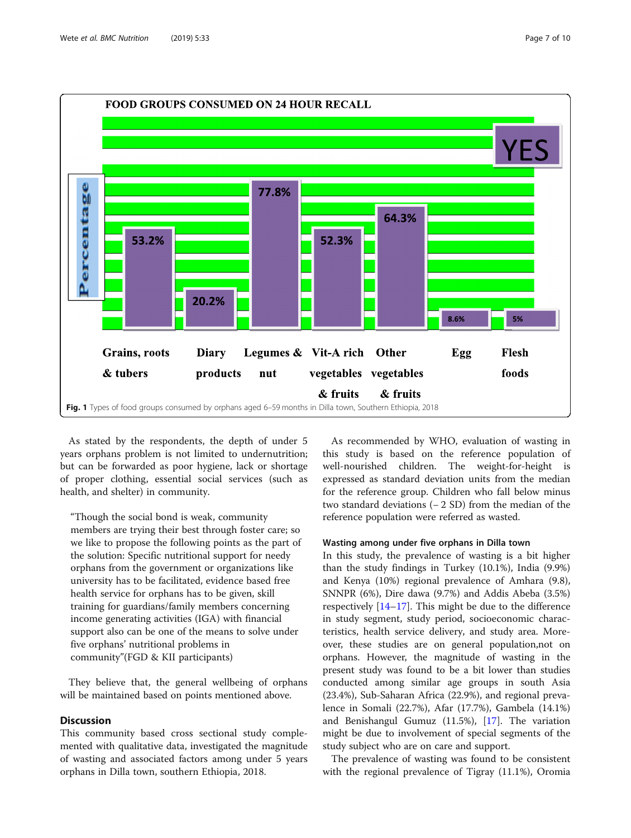<span id="page-6-0"></span>

As stated by the respondents, the depth of under 5 years orphans problem is not limited to undernutrition; but can be forwarded as poor hygiene, lack or shortage of proper clothing, essential social services (such as health, and shelter) in community.

"Though the social bond is weak, community members are trying their best through foster care; so we like to propose the following points as the part of the solution: Specific nutritional support for needy orphans from the government or organizations like university has to be facilitated, evidence based free health service for orphans has to be given, skill training for guardians/family members concerning income generating activities (IGA) with financial support also can be one of the means to solve under five orphans' nutritional problems in community"(FGD & KII participants)

They believe that, the general wellbeing of orphans will be maintained based on points mentioned above.

# **Discussion**

This community based cross sectional study complemented with qualitative data, investigated the magnitude of wasting and associated factors among under 5 years orphans in Dilla town, southern Ethiopia, 2018.

As recommended by WHO, evaluation of wasting in this study is based on the reference population of well-nourished children. The weight-for-height is expressed as standard deviation units from the median for the reference group. Children who fall below minus two standard deviations (− 2 SD) from the median of the reference population were referred as wasted.

# Wasting among under five orphans in Dilla town

In this study, the prevalence of wasting is a bit higher than the study findings in Turkey (10.1%), India (9.9%) and Kenya (10%) regional prevalence of Amhara (9.8), SNNPR (6%), Dire dawa (9.7%) and Addis Abeba (3.5%) respectively [[14](#page-9-0)–[17](#page-9-0)]. This might be due to the difference in study segment, study period, socioeconomic characteristics, health service delivery, and study area. Moreover, these studies are on general population,not on orphans. However, the magnitude of wasting in the present study was found to be a bit lower than studies conducted among similar age groups in south Asia (23.4%), Sub-Saharan Africa (22.9%), and regional prevalence in Somali (22.7%), Afar (17.7%), Gambela (14.1%) and Benishangul Gumuz (11.5%), [\[17](#page-9-0)]. The variation might be due to involvement of special segments of the study subject who are on care and support.

The prevalence of wasting was found to be consistent with the regional prevalence of Tigray (11.1%), Oromia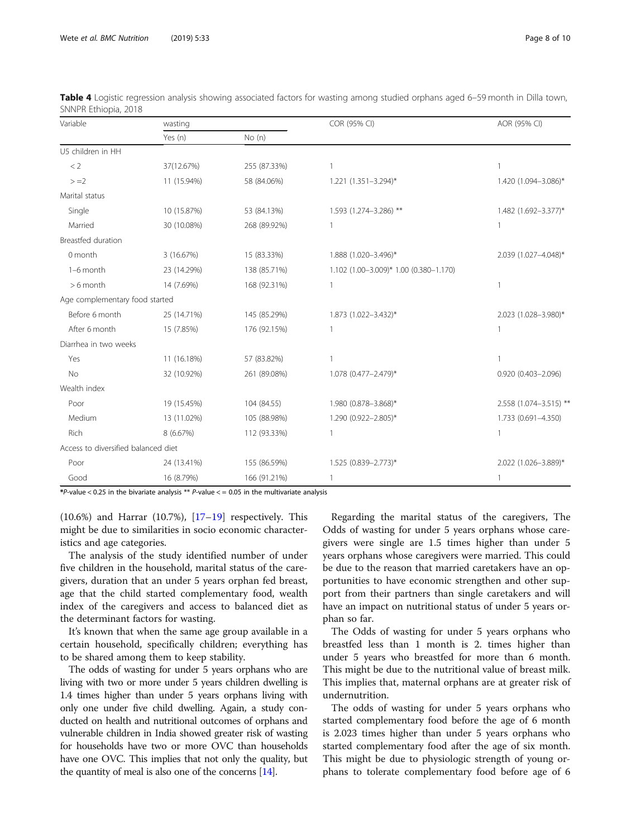| Variable                            | wasting     |              | COR (95% CI)                           | AOR (95% CI)           |  |
|-------------------------------------|-------------|--------------|----------------------------------------|------------------------|--|
|                                     | Yes (n)     | No(n)        |                                        |                        |  |
| U5 children in HH                   |             |              |                                        |                        |  |
| < 2                                 | 37(12.67%)  | 255 (87.33%) | 1                                      | 1                      |  |
| $> = 2$                             | 11 (15.94%) | 58 (84.06%)  | 1.221 (1.351-3.294)*                   | 1.420 (1.094-3.086)*   |  |
| Marital status                      |             |              |                                        |                        |  |
| Single                              | 10 (15.87%) | 53 (84.13%)  | 1.593 (1.274-3.286) **                 | 1.482 (1.692-3.377)*   |  |
| Married                             | 30 (10.08%) | 268 (89.92%) | 1                                      | 1                      |  |
| Breastfed duration                  |             |              |                                        |                        |  |
| 0 month                             | 3 (16.67%)  | 15 (83.33%)  | 1.888 (1.020-3.496)*                   | 2.039 (1.027-4.048)*   |  |
| $1-6$ month                         | 23 (14.29%) | 138 (85.71%) | 1.102 (1.00-3.009)* 1.00 (0.380-1.170) |                        |  |
| $> 6$ month                         | 14 (7.69%)  | 168 (92.31%) | 1                                      | 1                      |  |
| Age complementary food started      |             |              |                                        |                        |  |
| Before 6 month                      | 25 (14.71%) | 145 (85.29%) | 1.873 (1.022-3.432)*                   | 2.023 (1.028-3.980)*   |  |
| After 6 month                       | 15 (7.85%)  | 176 (92.15%) | 1                                      | 1                      |  |
| Diarrhea in two weeks               |             |              |                                        |                        |  |
| Yes                                 | 11 (16.18%) | 57 (83.82%)  |                                        | 1                      |  |
| <b>No</b>                           | 32 (10.92%) | 261 (89.08%) | 1.078 (0.477-2.479)*                   | 0.920 (0.403-2.096)    |  |
| Wealth index                        |             |              |                                        |                        |  |
| Poor                                | 19 (15.45%) | 104 (84.55)  | 1.980 (0.878-3.868)*                   | 2.558 (1.074-3.515) ** |  |
| Medium                              | 13 (11.02%) | 105 (88.98%) | 1.290 (0.922-2.805)*                   | 1.733 (0.691-4.350)    |  |
| Rich                                | 8 (6.67%)   | 112 (93.33%) | 1                                      | 1                      |  |
| Access to diversified balanced diet |             |              |                                        |                        |  |
| Poor                                | 24 (13.41%) | 155 (86.59%) | 1.525 (0.839-2.773)*                   | 2.022 (1.026-3.889)*   |  |
| Good                                | 16 (8.79%)  | 166 (91.21%) | 1                                      | 1                      |  |

<span id="page-7-0"></span>Table 4 Logistic regression analysis showing associated factors for wasting among studied orphans aged 6–59 month in Dilla town, SNNPR Ethiopia, 2018

\*P-value < 0.25 in the bivariate analysis \*\* P-value < = 0.05 in the multivariate analysis

(10.6%) and Harrar (10.7%), [\[17](#page-9-0)–[19\]](#page-9-0) respectively. This might be due to similarities in socio economic characteristics and age categories.

The analysis of the study identified number of under five children in the household, marital status of the caregivers, duration that an under 5 years orphan fed breast, age that the child started complementary food, wealth index of the caregivers and access to balanced diet as the determinant factors for wasting.

It's known that when the same age group available in a certain household, specifically children; everything has to be shared among them to keep stability.

The odds of wasting for under 5 years orphans who are living with two or more under 5 years children dwelling is 1.4 times higher than under 5 years orphans living with only one under five child dwelling. Again, a study conducted on health and nutritional outcomes of orphans and vulnerable children in India showed greater risk of wasting for households have two or more OVC than households have one OVC. This implies that not only the quality, but the quantity of meal is also one of the concerns [\[14\]](#page-9-0).

Regarding the marital status of the caregivers, The Odds of wasting for under 5 years orphans whose caregivers were single are 1.5 times higher than under 5 years orphans whose caregivers were married. This could be due to the reason that married caretakers have an opportunities to have economic strengthen and other support from their partners than single caretakers and will have an impact on nutritional status of under 5 years orphan so far.

The Odds of wasting for under 5 years orphans who breastfed less than 1 month is 2. times higher than under 5 years who breastfed for more than 6 month. This might be due to the nutritional value of breast milk. This implies that, maternal orphans are at greater risk of undernutrition.

The odds of wasting for under 5 years orphans who started complementary food before the age of 6 month is 2.023 times higher than under 5 years orphans who started complementary food after the age of six month. This might be due to physiologic strength of young orphans to tolerate complementary food before age of 6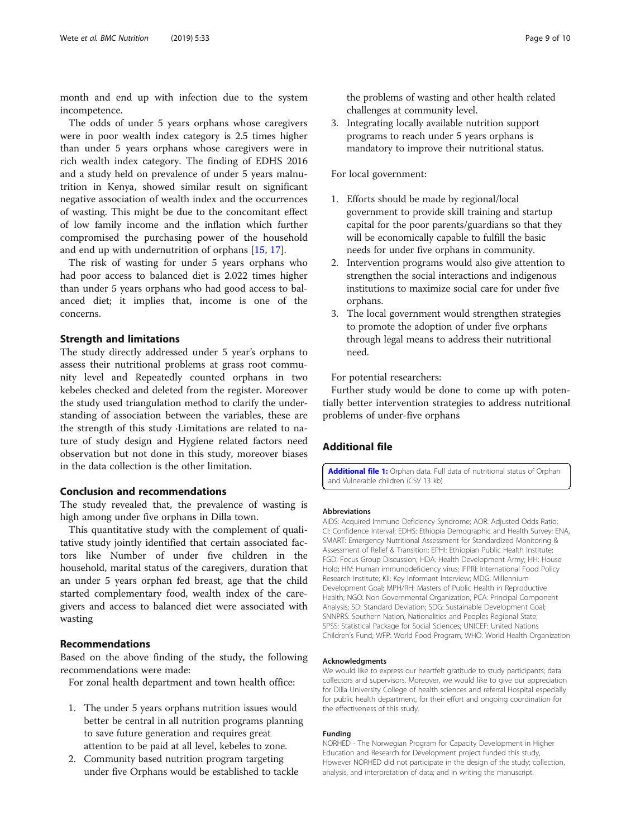<span id="page-8-0"></span>month and end up with infection due to the system incompetence.

The odds of under 5 years orphans whose caregivers were in poor wealth index category is 2.5 times higher than under 5 years orphans whose caregivers were in rich wealth index category. The finding of EDHS 2016 and a study held on prevalence of under 5 years malnutrition in Kenya, showed similar result on significant negative association of wealth index and the occurrences of wasting. This might be due to the concomitant effect of low family income and the inflation which further compromised the purchasing power of the household and end up with undernutrition of orphans [\[15](#page-9-0), [17\]](#page-9-0).

The risk of wasting for under 5 years orphans who had poor access to balanced diet is 2.022 times higher than under 5 years orphans who had good access to balanced diet; it implies that, income is one of the concerns.

# Strength and limitations

The study directly addressed under 5 year's orphans to assess their nutritional problems at grass root community level and Repeatedly counted orphans in two kebeles checked and deleted from the register. Moreover the study used triangulation method to clarify the understanding of association between the variables, these are the strength of this study ·Limitations are related to nature of study design and Hygiene related factors need observation but not done in this study, moreover biases in the data collection is the other limitation.

# Conclusion and recommendations

The study revealed that, the prevalence of wasting is high among under five orphans in Dilla town.

This quantitative study with the complement of qualitative study jointly identified that certain associated factors like Number of under five children in the household, marital status of the caregivers, duration that an under 5 years orphan fed breast, age that the child started complementary food, wealth index of the caregivers and access to balanced diet were associated with wasting

# Recommendations

Based on the above finding of the study, the following recommendations were made:

For zonal health department and town health office:

- 1. The under 5 years orphans nutrition issues would better be central in all nutrition programs planning to save future generation and requires great attention to be paid at all level, kebeles to zone.
- 2. Community based nutrition program targeting under five Orphans would be established to tackle

the problems of wasting and other health related challenges at community level.

3. Integrating locally available nutrition support programs to reach under 5 years orphans is mandatory to improve their nutritional status.

# For local government:

- 1. Efforts should be made by regional/local government to provide skill training and startup capital for the poor parents/guardians so that they will be economically capable to fulfill the basic needs for under five orphans in community.
- 2. Intervention programs would also give attention to strengthen the social interactions and indigenous institutions to maximize social care for under five orphans.
- 3. The local government would strengthen strategies to promote the adoption of under five orphans through legal means to address their nutritional need.

# For potential researchers:

Further study would be done to come up with potentially better intervention strategies to address nutritional problems of under-five orphans

# Additional file

[Additional file 1:](https://doi.org/10.1186/s40795-019-0295-6) Orphan data. Full data of nutritional status of Orphan and Vulnerable children (CSV 13 kb)

# Abbreviations

AIDS: Acquired Immuno Deficiency Syndrome; AOR: Adjusted Odds Ratio; CI: Confidence Interval; EDHS: Ethiopia Demographic and Health Survey; ENA, SMART: Emergency Nutritional Assessment for Standardized Monitoring & Assessment of Relief & Transition; EPHI: Ethiopian Public Health Institute; FGD: Focus Group Discussion; HDA: Health Development Army; HH: House Hold; HIV: Human immunodeficiency virus; IFPRI: International Food Policy Research Institute; KII: Key Informant Interview; MDG: Millennium Development Goal; MPH/RH: Masters of Public Health in Reproductive Health; NGO: Non Governmental Organization; PCA: Principal Component Analysis; SD: Standard Deviation; SDG: Sustainable Development Goal; SNNPRS: Southern Nation, Nationalities and Peoples Regional State; SPSS: Statistical Package for Social Sciences; UNICEF: United Nations Children's Fund; WFP: World Food Program; WHO: World Health Organization

#### Acknowledgments

We would like to express our heartfelt gratitude to study participants; data collectors and supervisors. Moreover, we would like to give our appreciation for Dilla University College of health sciences and referral Hospital especially for public health department, for their effort and ongoing coordination for the effectiveness of this study.

# Funding

NORHED - The Norwegian Program for Capacity Development in Higher Education and Research for Development project funded this study, However NORHED did not participate in the design of the study; collection, analysis, and interpretation of data; and in writing the manuscript.